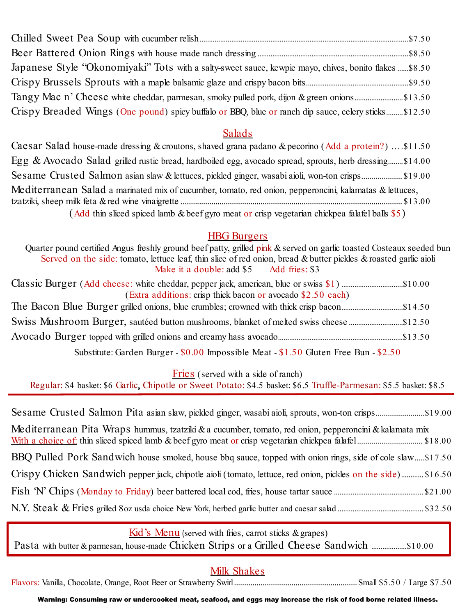| Japanese Style "Okonomiyaki" Tots with a salty-sweet sauce, kewpie mayo, chives, bonito flakes \$8.50 |  |
|-------------------------------------------------------------------------------------------------------|--|
|                                                                                                       |  |
|                                                                                                       |  |
| Crispy Breaded Wings (One pound) spicy buffalo or BBQ, blue or ranch dip sauce, celery sticks\$12.50  |  |

# Salads

| Caesar Salad house-made dressing & croutons, shaved grana padano & pecorino (Add a protein?) \$11.50    |
|---------------------------------------------------------------------------------------------------------|
| Egg & Avocado Salad grilled rustic bread, hardboiled egg, avocado spread, sprouts, herb dressing\$14.00 |
| Sesame Crusted Salmon asian slaw & lettuces, pickled ginger, wasabi aioli, won-ton crisps \$19.00       |
| Mediterranean Salad a marinated mix of cucumber, tomato, red onion, pepperoncini, kalamatas & lettuces, |
|                                                                                                         |
| (Add thin sliced spiced lamb & beef gyro meat or crisp vegetarian chickpea falafel balls \$5)           |

## HBG Burgers

Quarter pound certified Angus freshly ground beef patty, grilled pink & served on garlic toasted Costeaux seeded bun Served on the side: tomato, lettuce leaf, thin slice of red onion, bread & butter pickles & roasted garlic aioli Make it a double: add \$5 Add fries: \$3 Classic Burger (Add cheese: white cheddar, pepper jack, american, blue or swiss \$1) .................................\$10.00 (Extra additions: crisp thick bacon or avocado \$2.50 each) The Bacon Blue Burger grilled onions, blue crumbles; crowned with thick crisp bacon.................................\$14.50 Swiss Mushroom Burger, sautéed button mushrooms, blanket of melted swiss cheese .............................\$12.50 Avocado Burger topped with grilled onions and creamy hass avocado...................................................................\$13.50

Substitute: Garden Burger - \$0.00 Impossible Meat - \$1.50 Gluten Free Bun - \$2.50

Fries (served with a side of ranch)

Regular: \$4 basket: \$6 Garlic, Chipotle or Sweet Potato: \$4.5 basket: \$6.5 Truffle-Parmesan: \$5.5 basket: \$8.5

## $\overline{Kid}$ 's Menu (served with fries, carrot sticks & grapes)

Pasta with butter & parmesan, house-made Chicken Strips or a Grilled Cheese Sandwich ...................\$10.00

# Milk Shakes

Flavors: Vanilla, Chocolate, Orange, Root Beer or Strawberry Swirl............................................................Small \$5.50 / Large \$7.50

Warning: Consuming raw or undercooked meat, seafood, and eggs may increase the risk of food borne related illness.